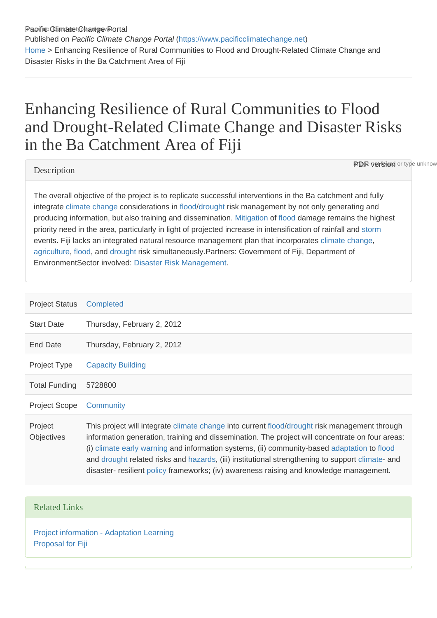Pacific Climate Change Portal Published on Pacific Climate Change Portal ([https://www.pacificclimatechange.net\)](https://www.pacificclimatechange.net) [Home](https://www.pacificclimatechange.net/) > Enhancing Resilience of Rural Communities to Flood and Drought-Related Climate Change and Disaster Risks in the Ba Catchment Area of Fiji

# Enhancing Resilience of Rural Communities to Flood and Drought-Related Climate Change and Disaster Risks in the Ba Catchment Area of Fiji

#### **Description**

**PDF version** or type unknow

The overall objective of the project is to replicate successful interventions in the Ba catchment and fully integrate [climate change](https://www.pacificclimatechange.net/glossary/letter_c#Climate_Change) considerations in [flood/](https://www.pacificclimatechange.net/glossary/letter_f#Flood)[drought](https://www.pacificclimatechange.net/glossary/letter_d#Drought) risk management by not only generating and producing information, but also training and dissemination. [Mitigation](https://www.pacificclimatechange.net/glossary/letter_m#Mitigation) of [flood](https://www.pacificclimatechange.net/glossary/letter_f#Flood) damage remains the highest priority need in the area, particularly in light of projected increase in intensification of rainfall and [storm](https://www.pacificclimatechange.net/glossary/letter_s#Storm) events. Fiji lacks an integrated natural resource management plan that incorporates [climate change,](https://www.pacificclimatechange.net/glossary/letter_c#Climate_Change) [agriculture](https://www.pacificclimatechange.net/glossary/letter_a#Agriculture), [flood,](https://www.pacificclimatechange.net/glossary/letter_f#Flood) and [drought](https://www.pacificclimatechange.net/glossary/letter_d#Drought) risk simultaneously.Partners: Government of Fiji, Department of EnvironmentSector involved: [Disaster Risk Management.](https://www.pacificclimatechange.net/glossary/letter_d#Disaster_Risk_Management)

| <b>Project Status</b>        | Completed                                                                                                                                                                                                                                                                                                                                                                                                                                                                                      |
|------------------------------|------------------------------------------------------------------------------------------------------------------------------------------------------------------------------------------------------------------------------------------------------------------------------------------------------------------------------------------------------------------------------------------------------------------------------------------------------------------------------------------------|
| <b>Start Date</b>            | Thursday, February 2, 2012                                                                                                                                                                                                                                                                                                                                                                                                                                                                     |
| End Date                     | Thursday, February 2, 2012                                                                                                                                                                                                                                                                                                                                                                                                                                                                     |
| Project Type                 | <b>Capacity Building</b>                                                                                                                                                                                                                                                                                                                                                                                                                                                                       |
| <b>Total Funding</b>         | 5728800                                                                                                                                                                                                                                                                                                                                                                                                                                                                                        |
| <b>Project Scope</b>         | Community                                                                                                                                                                                                                                                                                                                                                                                                                                                                                      |
| Project<br><b>Objectives</b> | This project will integrate climate change into current flood/drought risk management through<br>information generation, training and dissemination. The project will concentrate on four areas:<br>(i) climate early warning and information systems, (ii) community-based adaptation to flood<br>and drought related risks and hazards, (iii) institutional strengthening to support climate- and<br>disaster- resilient policy frameworks; (iv) awareness raising and knowledge management. |

### Related Links

[Project information - Adaptation Learning](http://www.adaptationlearning.net/category/tags/drought) [Proposal for Fiji](https://adaptation-fund.org/system/files/AFB.PPRC_.3.8 Proposal for Fiji.pdf)